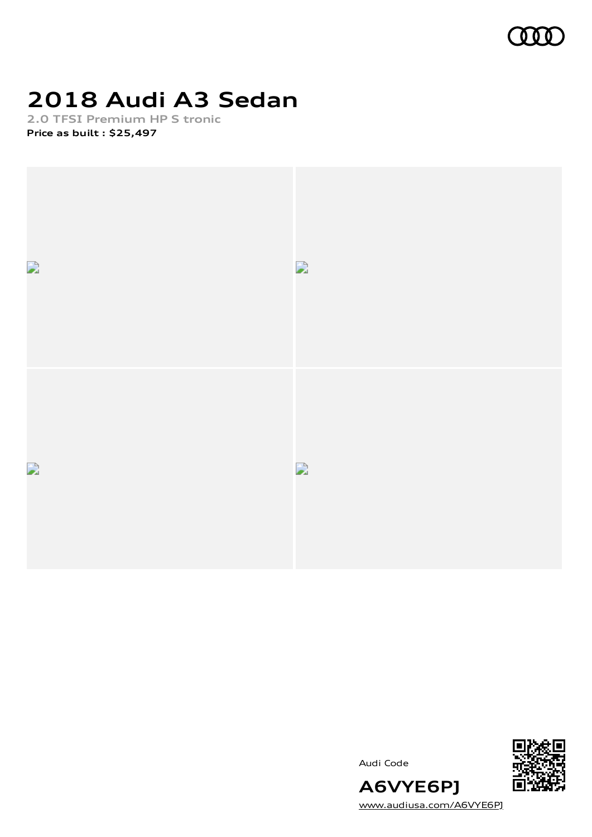

# **2018 Audi A3 Sedan**

**2.0 TFSI Premium HP S tronic Price as built [:](#page-10-0) \$25,497**





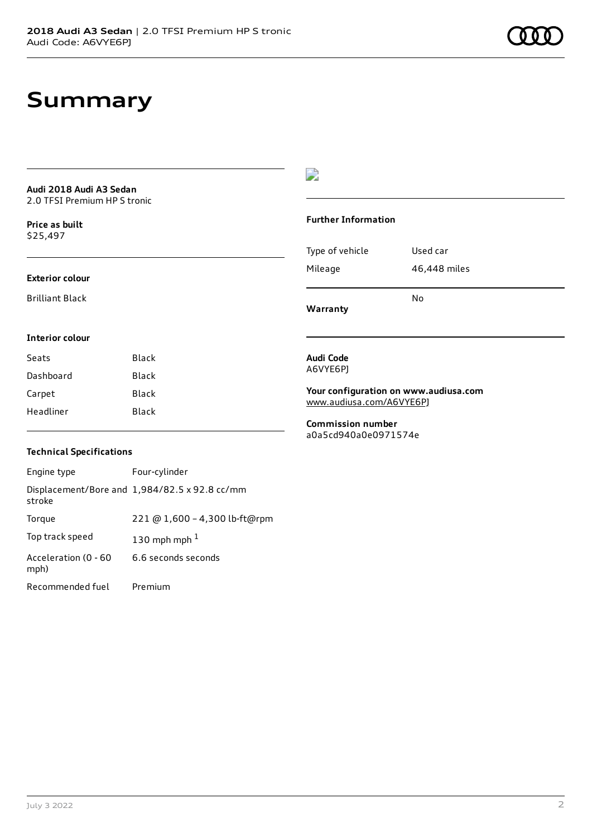# **Summary**

**Audi 2018 Audi A3 Sedan** 2.0 TFSI Premium HP S tronic

**Price as buil[t](#page-10-0)** \$25,497

#### **Exterior colour**

Brilliant Black

**Interior colour**

#### $\overline{\phantom{a}}$

## **Further Information** Type of vehicle Used car Mileage 46,448 miles

No

**Warranty**

### **Audi Code**

A6VYE6PJ

**Your configuration on www.audiusa.com** [www.audiusa.com/A6VYE6PJ](https://www.audiusa.com/A6VYE6PJ)

**Commission number** a0a5cd940a0e0971574e

### **Technical Specifications**

Seats Black Dashboard Black Carpet Black Headliner Black

| Engine type                  | Four-cylinder                                 |
|------------------------------|-----------------------------------------------|
| stroke                       | Displacement/Bore and 1,984/82.5 x 92.8 cc/mm |
| Torque                       | 221 @ 1,600 - 4,300 lb-ft@rpm                 |
| Top track speed              | 130 mph mph $1$                               |
| Acceleration (0 - 60<br>mph) | 6.6 seconds seconds                           |
| Recommended fuel             | Premium                                       |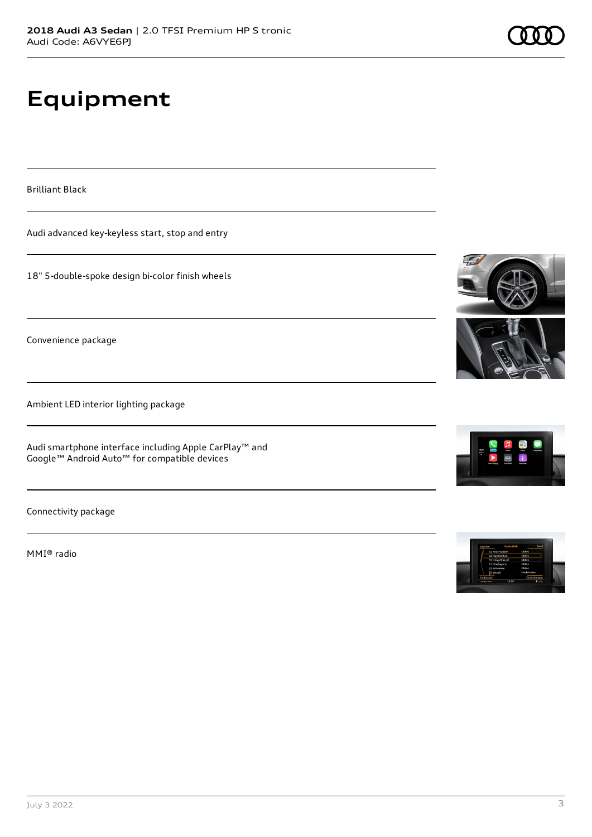# **Equipment**

Brilliant Black

Audi advanced key-keyless start, stop and entry

18" 5-double-spoke design bi-color finish wheels

Convenience package

Ambient LED interior lighting package

Audi smartphone interface including Apple CarPlay™ and Google™ Android Auto™ for compatible devices

Connectivity package

MMI® radio







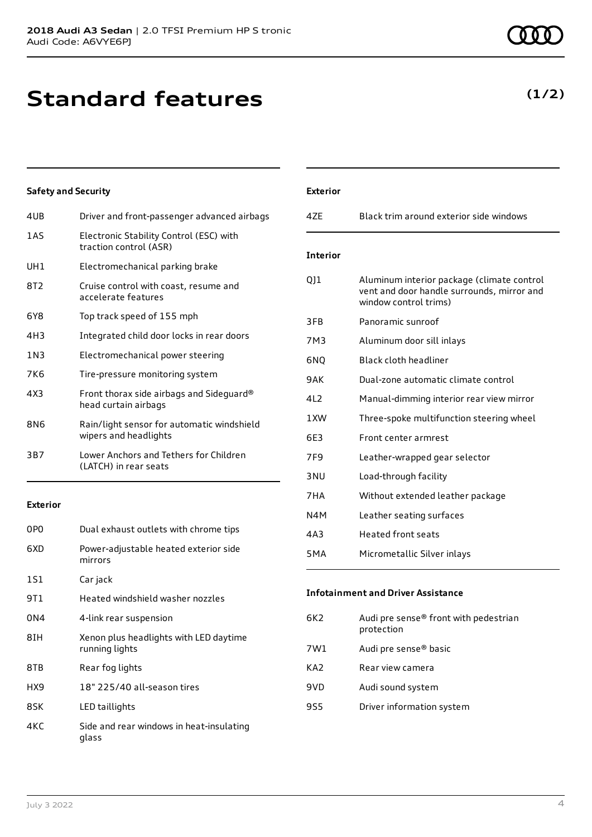# **Standard features**

### **Safety and Security**

| 4UB             | Driver and front-passenger advanced airbags                         |
|-----------------|---------------------------------------------------------------------|
| 1 A S           | Electronic Stability Control (ESC) with<br>traction control (ASR)   |
| UH <sub>1</sub> | Electromechanical parking brake                                     |
| 8T2             | Cruise control with coast, resume and<br>accelerate features        |
| 6Y8             | Top track speed of 155 mph                                          |
| 4H3             | Integrated child door locks in rear doors                           |
| 1 N 3           | Electromechanical power steering                                    |
| 7K6             | Tire-pressure monitoring system                                     |
| 4X3             | Front thorax side airbags and Sideguard®<br>head curtain airbags    |
| 8N6             | Rain/light sensor for automatic windshield<br>wipers and headlights |
| 3B7             | Lower Anchors and Tethers for Children<br>(LATCH) in rear seats     |

#### **Exterior**

| 0P <sub>0</sub> | Dual exhaust outlets with chrome tips                    |
|-----------------|----------------------------------------------------------|
| 6XD             | Power-adjustable heated exterior side<br>mirrors         |
| 1S1             | Car jack                                                 |
| 9T 1            | Heated windshield washer nozzles                         |
| 0N4             | 4-link rear suspension                                   |
| 8TH             | Xenon plus headlights with LED daytime<br>running lights |
| 8TB             | Rear fog lights                                          |
| HX9             | 18" 225/40 all-season tires                              |
| 8SK             | LED taillights                                           |
| 4KC             | Side and rear windows in heat-insulating<br>glass        |

| <b>Exterior</b> |                                                                                                                   |
|-----------------|-------------------------------------------------------------------------------------------------------------------|
| 47F             | Black trim around exterior side windows                                                                           |
| <b>Interior</b> |                                                                                                                   |
| 011             | Aluminum interior package (climate control<br>vent and door handle surrounds, mirror and<br>window control trims) |
| 3FB.            | Panoramic sunroof                                                                                                 |
| 7M3             | Aluminum door sill inlays                                                                                         |
| 6NQ             | <b>Black cloth headliner</b>                                                                                      |
| 9AK             | Dual-zone automatic climate control                                                                               |
| 4L2             | Manual-dimming interior rear view mirror                                                                          |
| 1 XW            | Three-spoke multifunction steering wheel                                                                          |
| 6E3             | Front center armrest                                                                                              |
| 7F <sub>9</sub> | Leather-wrapped gear selector                                                                                     |
| 3 <sub>NU</sub> | Load-through facility                                                                                             |
| 7HA             | Without extended leather package                                                                                  |
| N4M             | Leather seating surfaces                                                                                          |
| 4A3             | <b>Heated front seats</b>                                                                                         |
| 5MA             | Micrometallic Silver inlays                                                                                       |

#### **Infotainment and Driver Assistance**

| Audi pre sense® front with pedestrian<br>6K2<br>protection |  |
|------------------------------------------------------------|--|
| Audi pre sense <sup>®</sup> basic<br>7W1                   |  |
| KA2<br>Rear view camera                                    |  |
| 9VD<br>Audi sound system                                   |  |
| 9S5<br>Driver information system                           |  |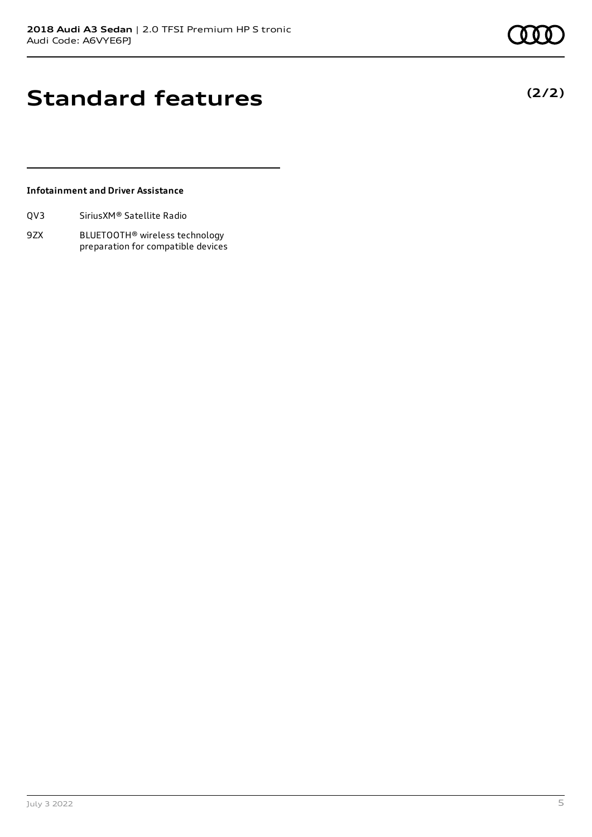**(2/2)**

# **Standard features**

#### **Infotainment and Driver Assistance**

| QV3 | Sirius XM <sup>®</sup> Satellite Radio |  |
|-----|----------------------------------------|--|
|     |                                        |  |

9ZX BLUETOOTH® wireless technology preparation for compatible devices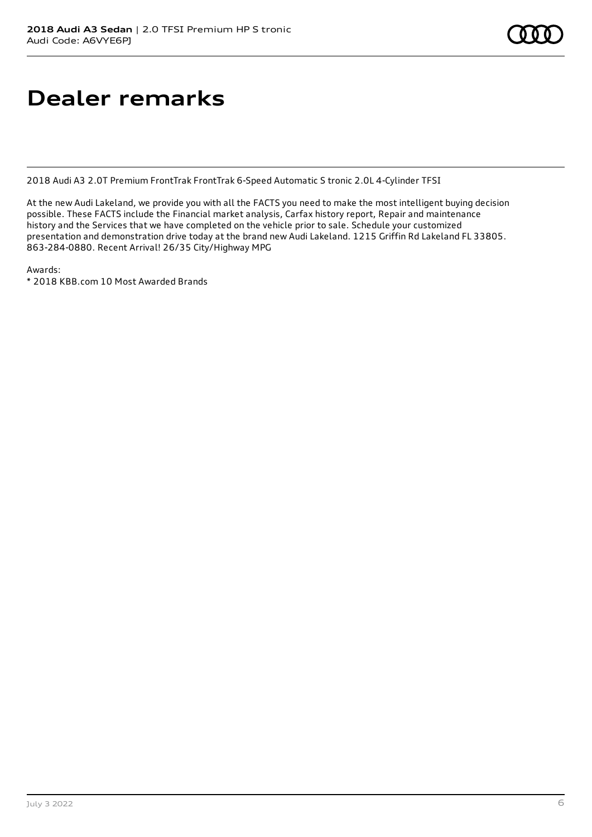# **Dealer remarks**

2018 Audi A3 2.0T Premium FrontTrak FrontTrak 6-Speed Automatic S tronic 2.0L 4-Cylinder TFSI

At the new Audi Lakeland, we provide you with all the FACTS you need to make the most intelligent buying decision possible. These FACTS include the Financial market analysis, Carfax history report, Repair and maintenance history and the Services that we have completed on the vehicle prior to sale. Schedule your customized presentation and demonstration drive today at the brand new Audi Lakeland. 1215 Griffin Rd Lakeland FL 33805. 863-284-0880. Recent Arrival! 26/35 City/Highway MPG

Awards:

\* 2018 KBB.com 10 Most Awarded Brands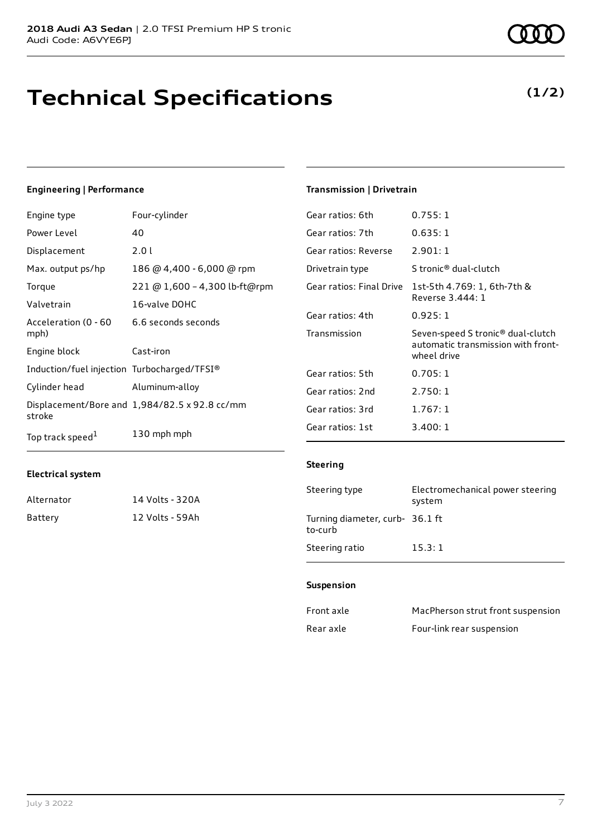# **Technical Specifications**

#### **Engineering | Performance**

| Four-cylinder                 | Gear ratios: 6th                                                                                                    | 0.755:1               |  |
|-------------------------------|---------------------------------------------------------------------------------------------------------------------|-----------------------|--|
| 40                            | Gear ratios: 7th                                                                                                    | 0.635:1               |  |
| 2.01                          | Gear ratios: Reverse                                                                                                | 2.901:1               |  |
| 186 @ 4,400 - 6,000 @ rpm     | Drivetrain type                                                                                                     | S tronic <sup>®</sup> |  |
| 221 @ 1,600 - 4,300 lb-ft@rpm | Gear ratios: Final Drive                                                                                            | $1$ st-5th 4          |  |
| 16-valve DOHC                 |                                                                                                                     | Reverse 3             |  |
|                               | Gear ratios: 4th                                                                                                    | 0.925:1               |  |
|                               | Transmission                                                                                                        | Seven-sp              |  |
| Cast-iron                     |                                                                                                                     | automati<br>wheel dri |  |
|                               | Gear ratios: 5th                                                                                                    | 0.705:1               |  |
| Aluminum-alloy                | Gear ratios: 2nd                                                                                                    | 2.750:1               |  |
|                               | Gear ratios: 3rd                                                                                                    | 1.767:1               |  |
| 130 mph mph                   | Gear ratios: 1st                                                                                                    | 3.400:1               |  |
|                               | 6.6 seconds seconds<br>Induction/fuel injection Turbocharged/TFSI®<br>Displacement/Bore and 1,984/82.5 x 92.8 cc/mm |                       |  |

#### **Electrical system**

| Alternator | 14 Volts - 320A |
|------------|-----------------|
| Battery    | 12 Volts - 59Ah |

### **Transmission | Drivetrain**

| Gear ratios: 6th     | 0.755:1                                                                                            |
|----------------------|----------------------------------------------------------------------------------------------------|
| Gear ratios: 7th     | 0.635:1                                                                                            |
| Gear ratios: Reverse | 2.901:1                                                                                            |
| Drivetrain type      | S tronic® dual-clutch                                                                              |
|                      | Gear ratios: Final Drive 1st-5th 4.769: 1, 6th-7th &<br>Reverse 3.444: 1                           |
| Gear ratios: 4th     | 0.925:1                                                                                            |
| Transmission         | Seven-speed S tronic <sup>®</sup> dual-clutch<br>automatic transmission with front-<br>wheel drive |
| Gear ratios: 5th     | 0.705:1                                                                                            |
| Gear ratios: 2nd     | 2.750:1                                                                                            |
| Gear ratios: 3rd     | 1.767:1                                                                                            |
| Gear ratios: 1st     | 3.400:1                                                                                            |

#### **Steering**

| Steering type                              | Electromechanical power steering<br>system |
|--------------------------------------------|--------------------------------------------|
| Turning diameter, curb- 36.1 ft<br>to-curb |                                            |
| Steering ratio                             | 15.3:1                                     |

#### **Suspension**

| Front axle | MacPherson strut front suspension |
|------------|-----------------------------------|
| Rear axle  | Four-link rear suspension         |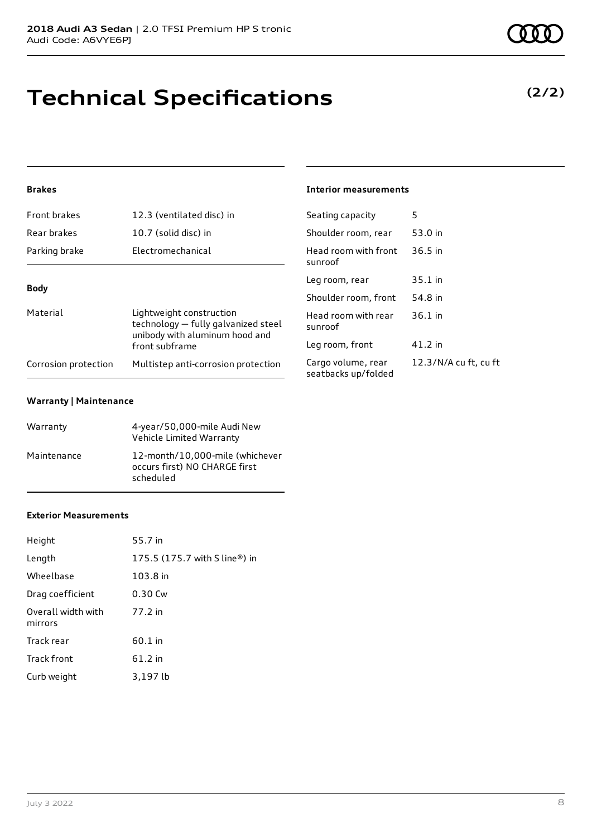# **Technical Specifications**

#### **Brakes**

| <b>Front brakes</b>  | 12.3 (ventilated disc) in                                                                         | Seating capacity                     |
|----------------------|---------------------------------------------------------------------------------------------------|--------------------------------------|
| Rear brakes          | 10.7 (solid disc) in                                                                              | Shoulder room, re                    |
| Parking brake        | Electromechanical                                                                                 | Head room with f<br>sunroof          |
| <b>Body</b>          |                                                                                                   | Leg room, rear                       |
|                      |                                                                                                   | Shoulder room, f                     |
| Material             | Lightweight construction<br>technology - fully galvanized steel<br>unibody with aluminum hood and | Head room with r<br>sunroof          |
|                      | front subframe                                                                                    | Leg room, front                      |
| Corrosion protection | Multistep anti-corrosion protection                                                               | Cargo volume, re<br>seatbacks un/fol |

#### **Warranty | Maintenance**

| Warranty    | 4-year/50,000-mile Audi New<br>Vehicle Limited Warranty                       |
|-------------|-------------------------------------------------------------------------------|
| Maintenance | 12-month/10,000-mile (whichever<br>occurs first) NO CHARGE first<br>scheduled |

#### **Exterior Measurements**

| Height                        | 55.7 in                       |
|-------------------------------|-------------------------------|
| Length                        | 175.5 (175.7 with S line®) in |
| Wheelbase                     | 103.8 in                      |
| Drag coefficient              | 0.30 Cw                       |
| Overall width with<br>mirrors | 77.2 in                       |
| Track rear                    | 60.1 in                       |
| Track front                   | $61.2$ in                     |
| Curb weight                   | 3,197 lb                      |

#### **Interior measurements**

| Seating capacity                          | 5                     |
|-------------------------------------------|-----------------------|
| Shoulder room, rear                       | 53.0 in               |
| Head room with front<br>sunroof           | $36.5$ in             |
| Leg room, rear                            | 35.1 in               |
| Shoulder room, front                      | 54.8 in               |
| Head room with rear<br>sunroof            | $36.1$ in             |
| Leg room, front                           | 41.2 in               |
| Cargo volume, rear<br>seatbacks up/folded | 12.3/N/A cu ft, cu ft |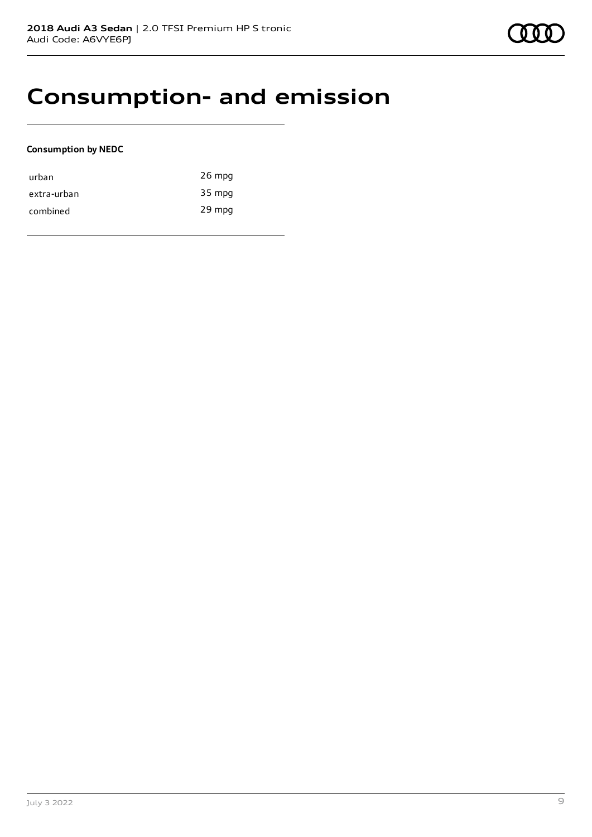## **Consumption- and emission**

#### **Consumption by NEDC**

| urban       | $26$ mpg |
|-------------|----------|
| extra-urban | 35 mpg   |
| combined    | 29 mpg   |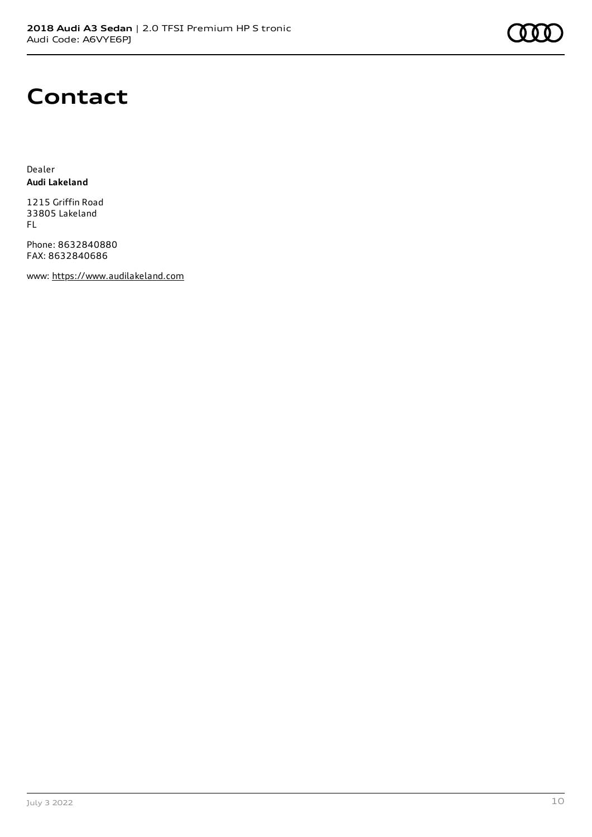## **Contact**

Dealer **Audi Lakeland**

1215 Griffin Road 33805 Lakeland FL

Phone: 8632840880 FAX: 8632840686

www: [https://www.audilakeland.com](https://www.audilakeland.com/)